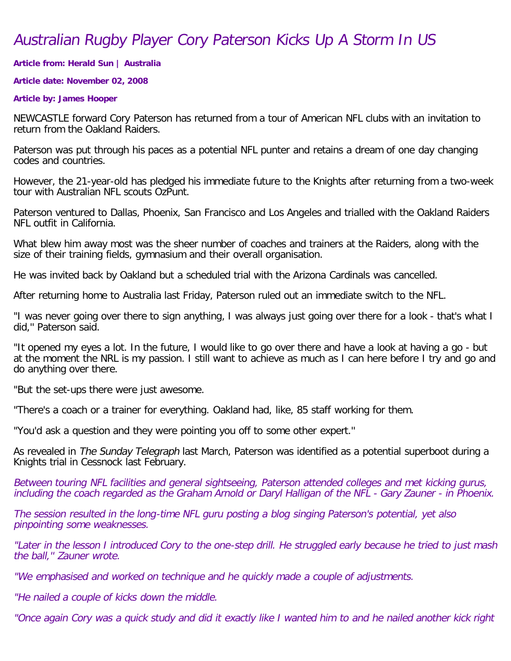## Australian Rugby Player Cory Paterson Kicks Up A Storm In US

**Article from: Herald Sun | Australia**

**Article date: November 02, 2008**

## **Article by: James Hooper**

NEWCASTLE forward Cory Paterson has returned from a tour of American NFL clubs with an invitation to return from the Oakland Raiders.

Paterson was put through his paces as a potential NFL punter and retains a dream of one day changing codes and countries.

However, the 21-year-old has pledged his immediate future to the Knights after returning from a two-week tour with Australian NFL scouts OzPunt.

Paterson ventured to Dallas, Phoenix, San Francisco and Los Angeles and trialled with the Oakland Raiders NFL outfit in California.

What blew him away most was the sheer number of coaches and trainers at the Raiders, along with the size of their training fields, gymnasium and their overall organisation.

He was invited back by Oakland but a scheduled trial with the Arizona Cardinals was cancelled.

After returning home to Australia last Friday, Paterson ruled out an immediate switch to the NFL.

"I was never going over there to sign anything, I was always just going over there for a look - that's what I did,'' Paterson said.

"It opened my eyes a lot. In the future, I would like to go over there and have a look at having a go - but at the moment the NRL is my passion. I still want to achieve as much as I can here before I try and go and do anything over there.

"But the set-ups there were just awesome.

"There's a coach or a trainer for everything. Oakland had, like, 85 staff working for them.

"You'd ask a question and they were pointing you off to some other expert.''

As revealed in The Sunday Telegraph last March, Paterson was identified as a potential superboot during a Knights trial in Cessnock last February.

Between touring NFL facilities and general sightseeing, Paterson attended colleges and met kicking gurus, including the coach regarded as the Graham Arnold or Daryl Halligan of the NFL - Gary Zauner - in Phoenix.

The session resulted in the long-time NFL guru posting a blog singing Paterson's potential, yet also pinpointing some weaknesses.

"Later in the lesson I introduced Cory to the one-step drill. He struggled early because he tried to just mash the ball,'' Zauner wrote.

"We emphasised and worked on technique and he quickly made a couple of adjustments.

"He nailed a couple of kicks down the middle.

"Once again Cory was a quick study and did it exactly like I wanted him to and he nailed another kick right